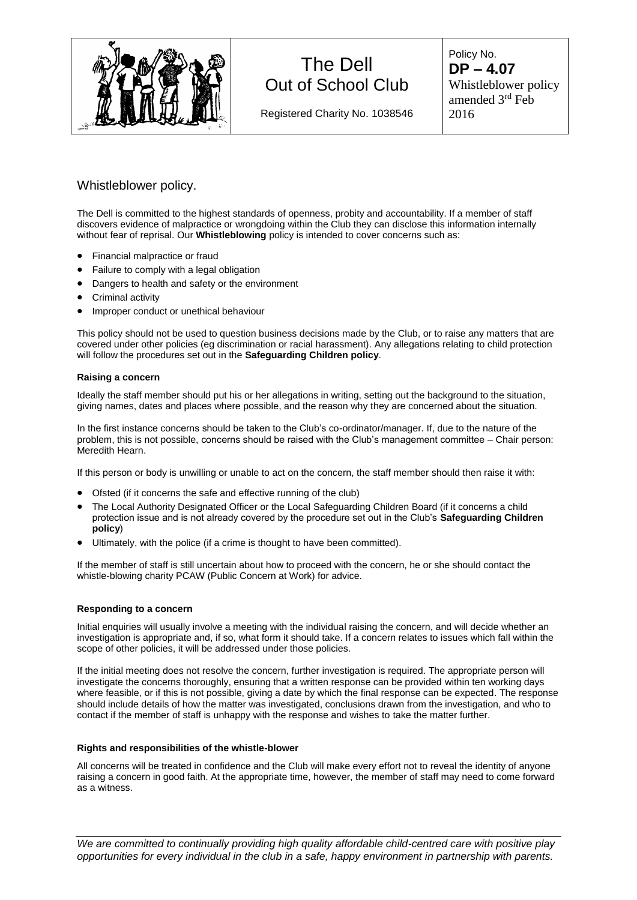

# The Dell Out of School Club

Registered Charity No. 1038546

Policy No. **DP – 4.07** Whistleblower policy amended 3rd Feb 2016

### Whistleblower policy.

The Dell is committed to the highest standards of openness, probity and accountability. If a member of staff discovers evidence of malpractice or wrongdoing within the Club they can disclose this information internally without fear of reprisal. Our **Whistleblowing** policy is intended to cover concerns such as:

- Financial malpractice or fraud
- Failure to comply with a legal obligation
- Dangers to health and safety or the environment
- Criminal activity
- **•** Improper conduct or unethical behaviour

This policy should not be used to question business decisions made by the Club, or to raise any matters that are covered under other policies (eg discrimination or racial harassment). Any allegations relating to child protection will follow the procedures set out in the **Safeguarding Children policy**.

#### **Raising a concern**

Ideally the staff member should put his or her allegations in writing, setting out the background to the situation, giving names, dates and places where possible, and the reason why they are concerned about the situation.

In the first instance concerns should be taken to the Club's co-ordinator/manager. If, due to the nature of the problem, this is not possible, concerns should be raised with the Club's management committee – Chair person: Meredith Hearn.

If this person or body is unwilling or unable to act on the concern, the staff member should then raise it with:

- Ofsted (if it concerns the safe and effective running of the club)
- The Local Authority Designated Officer or the Local Safeguarding Children Board (if it concerns a child protection issue and is not already covered by the procedure set out in the Club's **Safeguarding Children policy**)
- Ultimately, with the police (if a crime is thought to have been committed).

If the member of staff is still uncertain about how to proceed with the concern, he or she should contact the whistle-blowing charity PCAW (Public Concern at Work) for advice.

#### **Responding to a concern**

Initial enquiries will usually involve a meeting with the individual raising the concern, and will decide whether an investigation is appropriate and, if so, what form it should take. If a concern relates to issues which fall within the scope of other policies, it will be addressed under those policies.

If the initial meeting does not resolve the concern, further investigation is required. The appropriate person will investigate the concerns thoroughly, ensuring that a written response can be provided within ten working days where feasible, or if this is not possible, giving a date by which the final response can be expected. The response should include details of how the matter was investigated, conclusions drawn from the investigation, and who to contact if the member of staff is unhappy with the response and wishes to take the matter further.

#### **Rights and responsibilities of the whistle-blower**

All concerns will be treated in confidence and the Club will make every effort not to reveal the identity of anyone raising a concern in good faith. At the appropriate time, however, the member of staff may need to come forward as a witness.